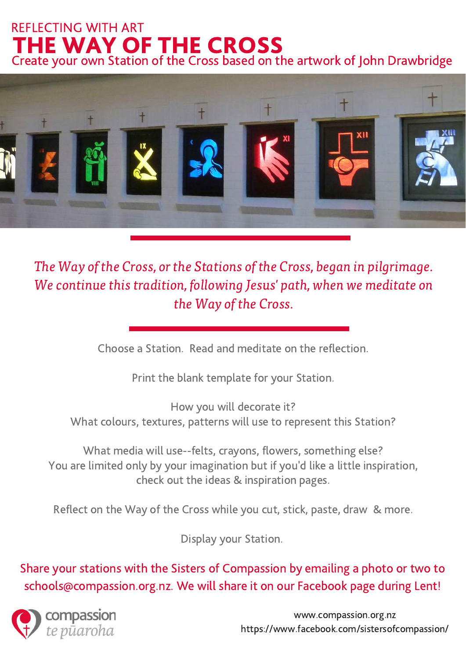#### THE WAY OF THE CROSS REFLECTING WITH ART Create your own Station of the Cross based on the artwork of John Drawbridge



The Way of the Cross, or the Stations of the Cross, began in pilgrimage. We continue this tradition, following Jesus' path, when we meditate on the Way of the Cross.

Choose a Station. Read and meditate on the reflection.

Print the blank template for your Station.

How you will decorate it? What colours, textures, patterns will use to represent this Station?

What media will use--felts, crayons, flowers, something else? You are limited only by your imagination but if you'd like a little inspiration, check out the ideas & inspiration pages.

Reflect on the Way of the Cross while you cut, stick, paste, draw & more.

Display your Station.

Share your stations with the Sisters of Compassion by emailing a photo or two to schools@compassion.org.nz. We will share it on our Facebook page during Lent!



www.compassion.org.nz https://www.facebook.com/sistersofcompassion/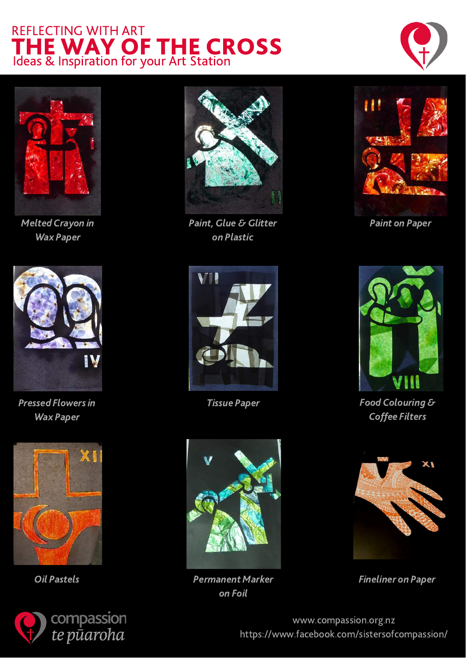



Melted Crayon in Wax Paper



Pressed Flowers in Wax Paper







Paint, Glue & Glitter **Paint on Paper** Paint on Paper on Plastic





Oil Pastels **Permanent Marker** on Foil





Tissue Paper Tissue Paper Coffee Filters



Fineliner on Paper

www.compassion.org.nz https://www.facebook.com/sistersofcompassion/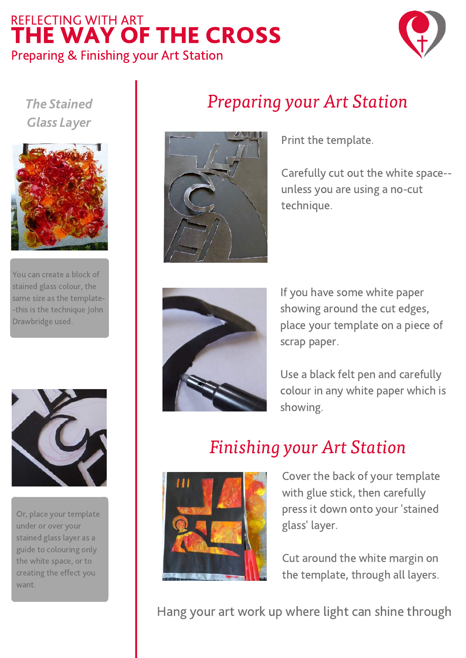### THE WAY OF THE CROSS REFLECTING WITH ART Preparing & Finishing your Art Station



The Stained Glass Layer



You can create a block of stained glass colour, the same size as the template- -this is the technique John Drawbridge used.



Or, place your template under or over your stained glass layer as a guide to colouring only the white space, or to creating the effect you want.



Preparing your Art Station

Print the template.

Carefully cut out the white space- unless you are using a no-cut technique.



If you have some white paper showing around the cut edges, place your template on a piece of scrap paper.

Use a black felt pen and carefully colour in any white paper which is showing.

## Finishing your Art Station



Cover the back of your template with glue stick, then carefully press it down onto your 'stained glass' layer.

Cut around the white margin on the template, through all layers.

Hang your art work up where light can shine through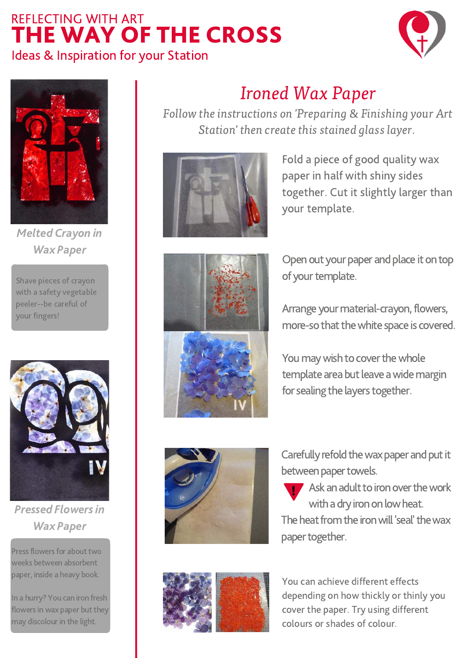



Melted Crayon in Wax Paper

Shave pieces of crayon with a safety vegetable peeler--be careful of your fingers!



Pressed Flowersin Wax Paper

Press flowers for about two weeks between absorbent paper, inside a heavy book.

In a hurry? You can iron fresh flowers in wax paper but they may discolour in the light.

## Ironed Wax Paper

Follow the instructions on 'Preparing & Finishing your Art Station' then create this stained glass layer.



Fold a piece of good quality wax paper in half with shiny sides together. Cut it slightly larger than your template.



Open out your paper and place it on top of your template.

Arrange your material-crayon, flowers, more-so that the white space is covered.



You may wish to cover the whole template area but leave a wide margin for sealing the layers together.



Carefully refold the wax paper and put it between paper towels.

 $\blacksquare$  Ask an adult to iron over the work with a dry iron on low heat. The heat from the iron will 'seal' the wax paper together.



You can achieve different effects depending on how thickly or thinly you cover the paper. Try using different colours or shades of colour.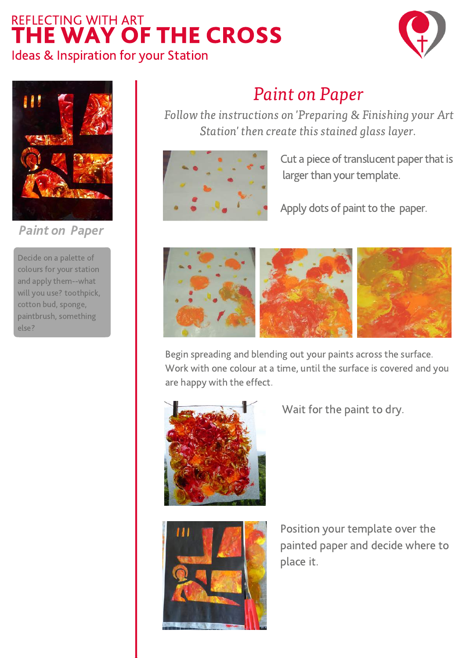



Paint on Paper

Decide on a palette of colours for your station and apply them--what will you use? toothpick, cotton bud, sponge, paintbrush, something else?

## Paint on Paper

Follow the instructions on 'Preparing & Finishing your Art Station' then create this stained glass layer.

Cut a piece of translucent paper that is larger than your template.

Apply dots of paint to the paper.



Begin spreading and blending out your paints across the surface. Work with one colour at a time, until the surface is covered and you are happy with the effect.





Wait for the paint to dry.

Position your template over the painted paper and decide where to place it.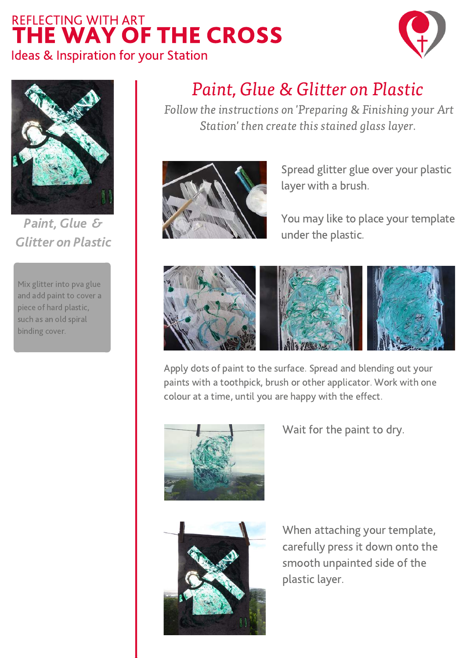



Paint, Glue & Glitter on Plastic

Mix glitter into pva glue and add paint to cover a piece of hard plastic, such as an old spiral binding cover.

## Paint, Glue & Glitter on Plastic

Follow the instructions on 'Preparing & Finishing your Art Station' then create this stained glass layer.



Spread glitter glue over your plastic layer with a brush.

You may like to place your template under the plastic.



Apply dots of paint to the surface. Spread and blending out your paints with a toothpick, brush or other applicator. Work with one colour at a time, until you are happy with the effect.



Wait for the paint to dry.



When attaching your template, carefully press it down onto the smooth unpainted side of the plastic layer.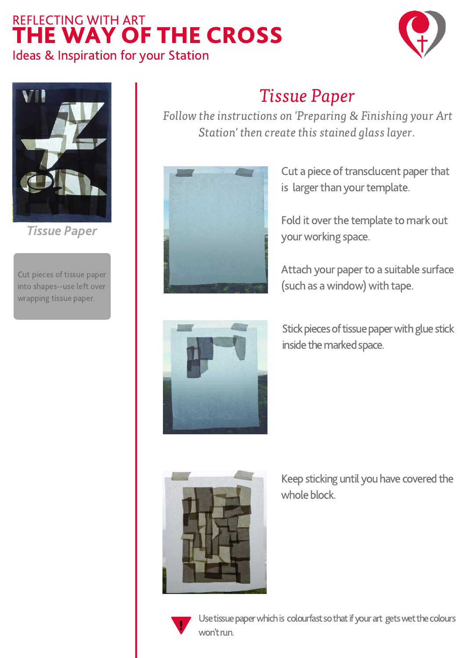



Tissue Paper

Cut pieces of tissue paper into shapes--use left over wrapping tissue paper.

## Tissue Paper

Follow the instructions on 'Preparing & Finishing your Art Station' then create this stained glass layer.



Cut a piece of transclucent paper that is larger than your template.

Fold it over the template to mark out your working space.

Attach your paper to a suitable surface (such as a window) with tape.



Stick pieces of tissue paper with glue stick inside the marked space.



Keep sticking until you have covered the whole block.



Use tissue paper which is colourfast so that if your art gets wet the colours won't run.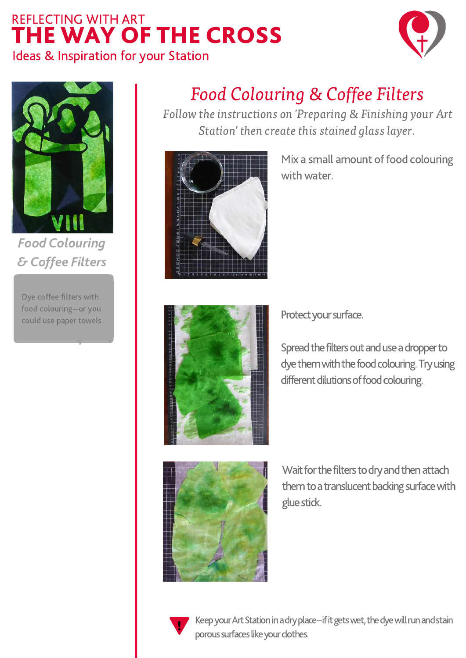



Food Colouring & Coffee Filters

rood colouring--or you<br>could use paper towels. Dye coffee filters with food colouring--or you

## Food Colouring & Coffee Filters

Follow the instructions on 'Preparing & Finishing your Art Station' then create this stained glass layer.



Mix a small amount of food colouring with water.



Protect your surface.

Spread the filters out and use a dropper to dye them with the food colouring. Try using different dilutions of food colouring.



Wait for the filters to dry and then attach them to a translucent backing surface with gluestick.



Keep your Art Station in a dry place--if it gets wet, the dye will run and stain porous surfaces like your clothes.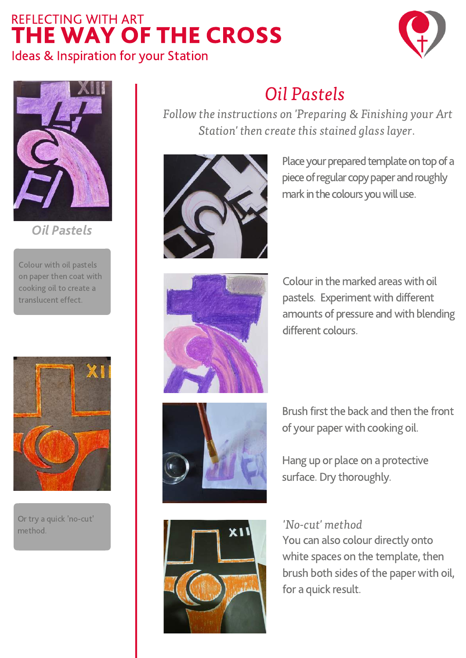



Oil Pastels

Colour with oil pastels on paper then coat with cooking oil to create a translucent effect.



Or try a quick 'no-cut' method.

# Oil Pastels

Follow the instructions on 'Preparing & Finishing your Art Station' then create this stained glass layer.



Place your prepared template on top of a piece of regular copy paper and roughly mark in the colours you will use.



Colour in the marked areas with oil pastels. Experiment with different amounts of pressure and with blending different colours.





Brush first the back and then the front of your paper with cooking oil.

Hang up or place on a protective surface. Dry thoroughly.

#### 'No-cut' method

You can also colour directly onto white spaces on the template, then brush both sides of the paper with oil, for a quick result.